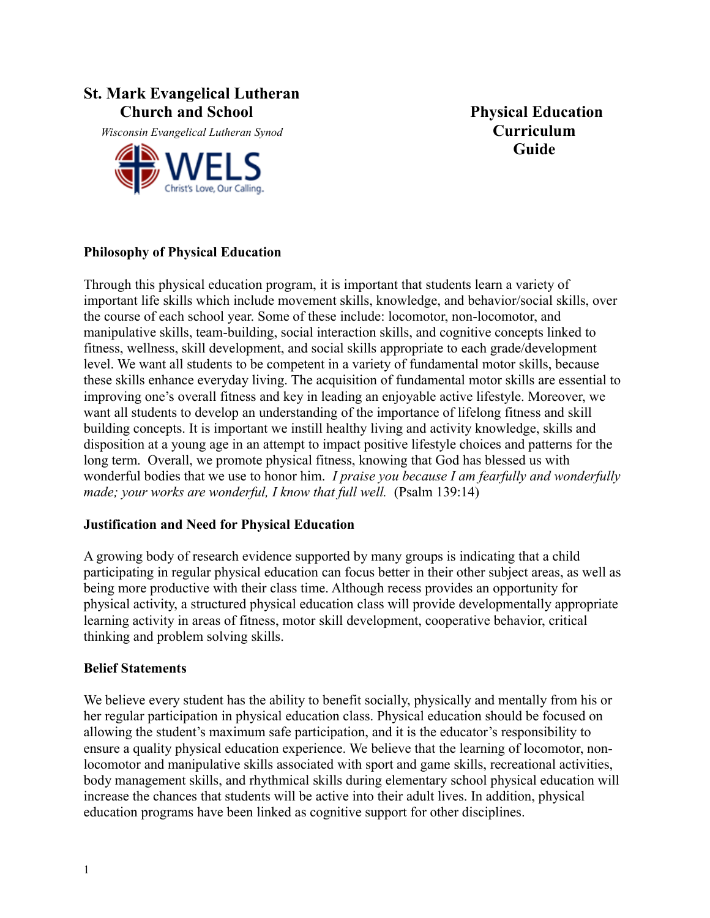# **St. Mark Evangelical Lutheran**  *Church and School* **Physical Education**

*Misconsin Evangelical Lutheran Synod* **Curriculum** 



**Guide**

## **Philosophy of Physical Education**

Through this physical education program, it is important that students learn a variety of important life skills which include movement skills, knowledge, and behavior/social skills, over the course of each school year. Some of these include: locomotor, non-locomotor, and manipulative skills, team-building, social interaction skills, and cognitive concepts linked to fitness, wellness, skill development, and social skills appropriate to each grade/development level. We want all students to be competent in a variety of fundamental motor skills, because these skills enhance everyday living. The acquisition of fundamental motor skills are essential to improving one's overall fitness and key in leading an enjoyable active lifestyle. Moreover, we want all students to develop an understanding of the importance of lifelong fitness and skill building concepts. It is important we instill healthy living and activity knowledge, skills and disposition at a young age in an attempt to impact positive lifestyle choices and patterns for the long term. Overall, we promote physical fitness, knowing that God has blessed us with wonderful bodies that we use to honor him. *I praise you because I am fearfully and wonderfully made; your works are wonderful, I know that full well.* (Psalm 139:14)

#### **Justification and Need for Physical Education**

A growing body of research evidence supported by many groups is indicating that a child participating in regular physical education can focus better in their other subject areas, as well as being more productive with their class time. Although recess provides an opportunity for physical activity, a structured physical education class will provide developmentally appropriate learning activity in areas of fitness, motor skill development, cooperative behavior, critical thinking and problem solving skills.

#### **Belief Statements**

We believe every student has the ability to benefit socially, physically and mentally from his or her regular participation in physical education class. Physical education should be focused on allowing the student's maximum safe participation, and it is the educator's responsibility to ensure a quality physical education experience. We believe that the learning of locomotor, nonlocomotor and manipulative skills associated with sport and game skills, recreational activities, body management skills, and rhythmical skills during elementary school physical education will increase the chances that students will be active into their adult lives. In addition, physical education programs have been linked as cognitive support for other disciplines.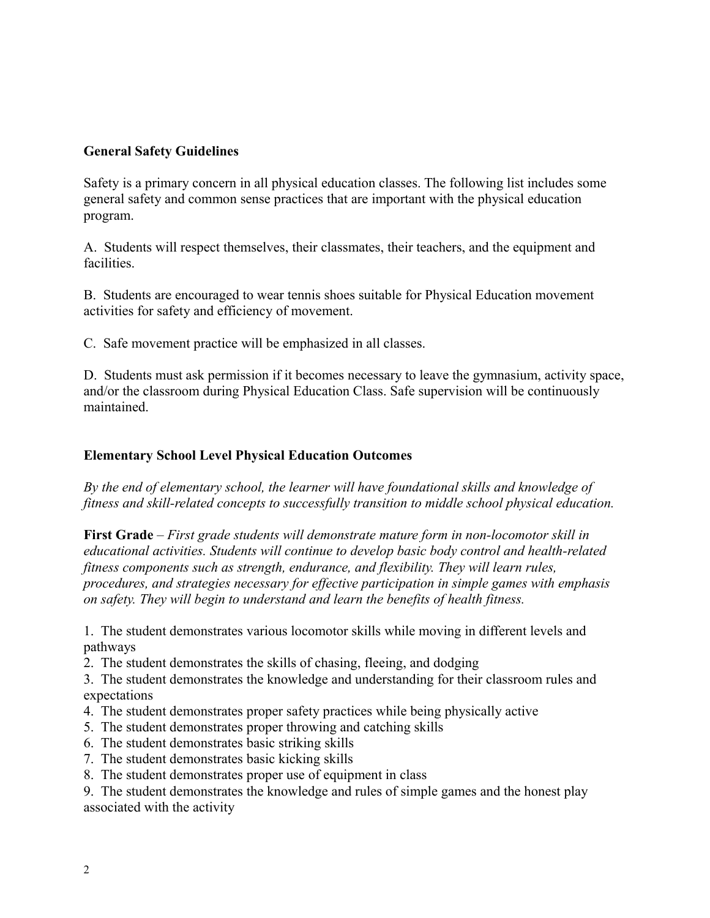# **General Safety Guidelines**

Safety is a primary concern in all physical education classes. The following list includes some general safety and common sense practices that are important with the physical education program.

A. Students will respect themselves, their classmates, their teachers, and the equipment and facilities.

B. Students are encouraged to wear tennis shoes suitable for Physical Education movement activities for safety and efficiency of movement.

C. Safe movement practice will be emphasized in all classes.

D. Students must ask permission if it becomes necessary to leave the gymnasium, activity space, and/or the classroom during Physical Education Class. Safe supervision will be continuously maintained.

## **Elementary School Level Physical Education Outcomes**

*By the end of elementary school, the learner will have foundational skills and knowledge of fitness and skill-related concepts to successfully transition to middle school physical education.* 

**First Grade** – *First grade students will demonstrate mature form in non-locomotor skill in educational activities. Students will continue to develop basic body control and health-related fitness components such as strength, endurance, and flexibility. They will learn rules, procedures, and strategies necessary for effective participation in simple games with emphasis on safety. They will begin to understand and learn the benefits of health fitness.*

1. The student demonstrates various locomotor skills while moving in different levels and pathways

2. The student demonstrates the skills of chasing, fleeing, and dodging

3. The student demonstrates the knowledge and understanding for their classroom rules and expectations

- 4. The student demonstrates proper safety practices while being physically active
- 5. The student demonstrates proper throwing and catching skills
- 6. The student demonstrates basic striking skills
- 7. The student demonstrates basic kicking skills
- 8. The student demonstrates proper use of equipment in class

9. The student demonstrates the knowledge and rules of simple games and the honest play associated with the activity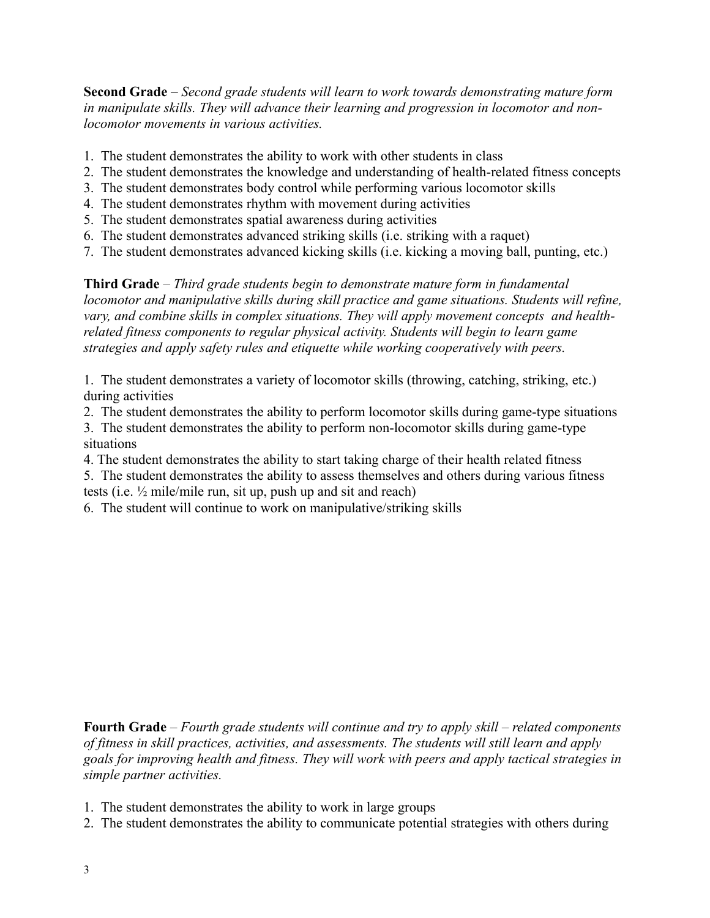**Second Grade** – *Second grade students will learn to work towards demonstrating mature form in manipulate skills. They will advance their learning and progression in locomotor and nonlocomotor movements in various activities.*

- 1. The student demonstrates the ability to work with other students in class
- 2. The student demonstrates the knowledge and understanding of health-related fitness concepts
- 3. The student demonstrates body control while performing various locomotor skills
- 4. The student demonstrates rhythm with movement during activities
- 5. The student demonstrates spatial awareness during activities
- 6. The student demonstrates advanced striking skills (i.e. striking with a raquet)
- 7. The student demonstrates advanced kicking skills (i.e. kicking a moving ball, punting, etc.)

**Third Grade** – *Third grade students begin to demonstrate mature form in fundamental locomotor and manipulative skills during skill practice and game situations. Students will refine, vary, and combine skills in complex situations. They will apply movement concepts and healthrelated fitness components to regular physical activity. Students will begin to learn game strategies and apply safety rules and etiquette while working cooperatively with peers.*

1. The student demonstrates a variety of locomotor skills (throwing, catching, striking, etc.) during activities

2. The student demonstrates the ability to perform locomotor skills during game-type situations

- 3. The student demonstrates the ability to perform non-locomotor skills during game-type situations
- 4. The student demonstrates the ability to start taking charge of their health related fitness
- 5. The student demonstrates the ability to assess themselves and others during various fitness tests (i.e. ½ mile/mile run, sit up, push up and sit and reach)

6. The student will continue to work on manipulative/striking skills

**Fourth Grade** – *Fourth grade students will continue and try to apply skill – related components of fitness in skill practices, activities, and assessments. The students will still learn and apply goals for improving health and fitness. They will work with peers and apply tactical strategies in simple partner activities.*

- 1. The student demonstrates the ability to work in large groups
- 2. The student demonstrates the ability to communicate potential strategies with others during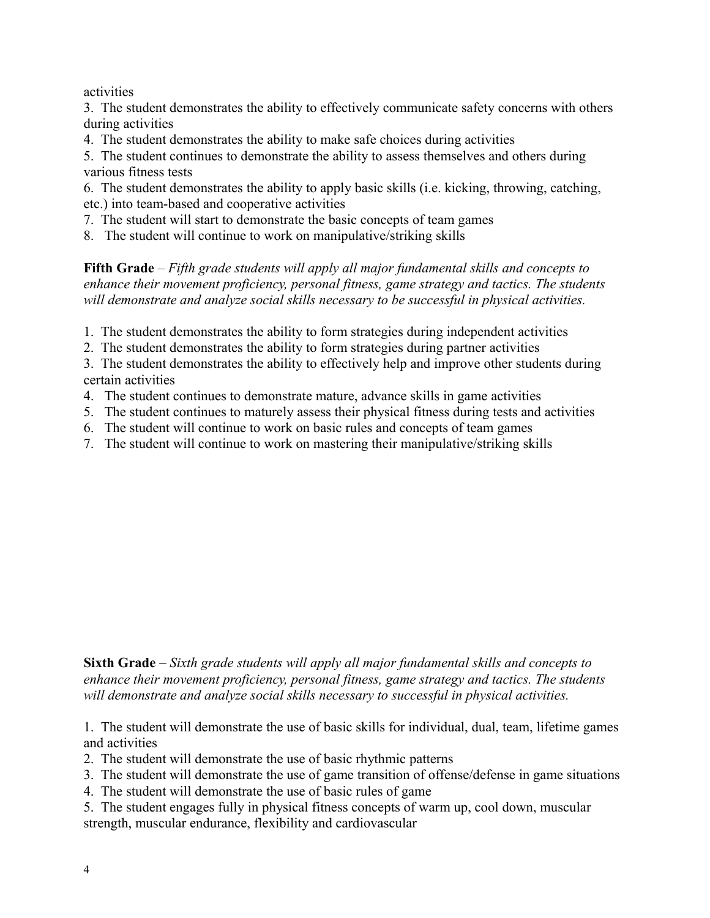activities

3. The student demonstrates the ability to effectively communicate safety concerns with others during activities

4. The student demonstrates the ability to make safe choices during activities

5. The student continues to demonstrate the ability to assess themselves and others during various fitness tests

- 6. The student demonstrates the ability to apply basic skills (i.e. kicking, throwing, catching, etc.) into team-based and cooperative activities
- 7. The student will start to demonstrate the basic concepts of team games
- 8. The student will continue to work on manipulative/striking skills

**Fifth Grade** – *Fifth grade students will apply all major fundamental skills and concepts to enhance their movement proficiency, personal fitness, game strategy and tactics. The students will demonstrate and analyze social skills necessary to be successful in physical activities.*

1. The student demonstrates the ability to form strategies during independent activities

2. The student demonstrates the ability to form strategies during partner activities

3. The student demonstrates the ability to effectively help and improve other students during certain activities

- 4. The student continues to demonstrate mature, advance skills in game activities
- 5. The student continues to maturely assess their physical fitness during tests and activities
- 6. The student will continue to work on basic rules and concepts of team games
- 7. The student will continue to work on mastering their manipulative/striking skills

**Sixth Grade** – *Sixth grade students will apply all major fundamental skills and concepts to enhance their movement proficiency, personal fitness, game strategy and tactics. The students will demonstrate and analyze social skills necessary to successful in physical activities.*

1. The student will demonstrate the use of basic skills for individual, dual, team, lifetime games and activities

- 2. The student will demonstrate the use of basic rhythmic patterns
- 3. The student will demonstrate the use of game transition of offense/defense in game situations
- 4. The student will demonstrate the use of basic rules of game
- 5. The student engages fully in physical fitness concepts of warm up, cool down, muscular strength, muscular endurance, flexibility and cardiovascular